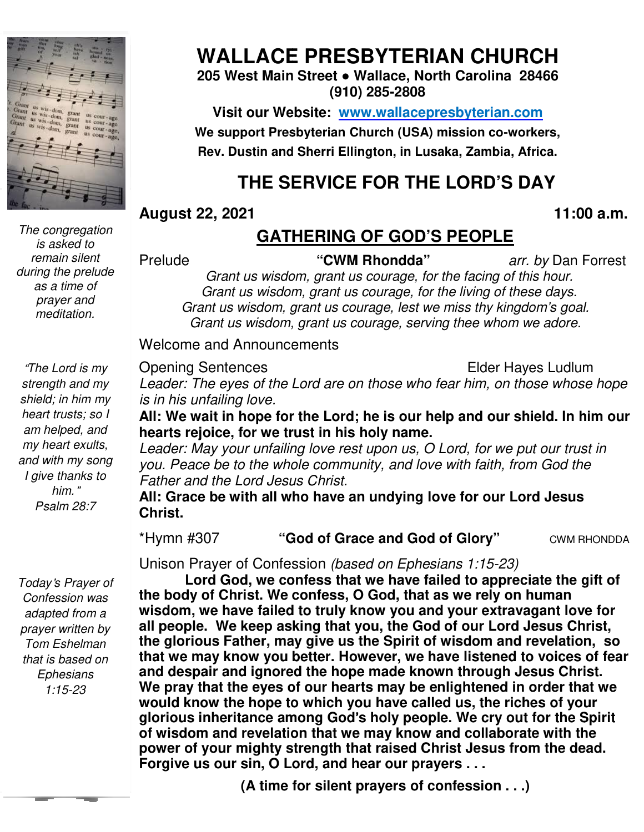

*The congregation is asked to remain silent during the prelude as a time of prayer and meditation.* 

"*The Lord is my strength and my shield; in him my heart trusts; so I am helped, and my heart exults, and with my song I give thanks to him.*" *Psalm 28:7* 

*Today*'*s Prayer of Confession was adapted from a prayer written by Tom Eshelman that is based on Ephesians 1:15-23* 

# **WALLACE PRESBYTERIAN CHURCH**

#### **205 West Main Street ● Wallace, North Carolina 28466 (910) 285-2808**

**Visit our Website: www.wallacepresbyterian.com** We support Presbyterian Church (USA) mission co-workers, **Rev. Dustin and Sherri Ellington, in Lusaka, Zambia, Africa. Sherri Ellington,** 

## **THE SERVICE FOR THE LORD'S DAY**

**August 22, 2021** 

Prelude

#### **, 11:00 a.m**

## **GATHERING OF GOD'S PEOPLE**

**"CWM Rhondda"** *arr. by* Dan Forrest

*Grant us wisdom, grant us courage, for the facing of this hour. Grant us wisdom, grant us courage, for the living of these days. Grant us wisdom, grant us courage, lest we miss thy kingdom's goal. Grant us wisdom, wisdom, grant us courage, serving thee whom we adore.*

#### Welcome and Announcements and Announcements

Opening Sentences

**Elder Hayes Ludlum** 

Leader: The eyes of the Lord are on those who fear him, on those whose hope *is in his unfailing love.* 

All: We wait in hope for the Lord; he is our help and our shield. In him our **hearts rejoice, for we trust in his holy name. rejoice,** 

Leader: May your unfailing love rest upon us, O Lord, for we put our trust in *you. Peace be to the whole community, and love with faith, from God the Father and the Lord Jesus Christ.* : May your unfailing love rest upon us, O L<br>eace be to the whole community, and love<br>and the Lord Jesus Christ.

**All: Grace be with all who have an undying love for our Lord Jesus for Glory"** CWM RHONDDA **Christ.**

\*Hymn #307 **"God of Grace and God of Glory**

Unison Prayer of Confession Unison Prayer of *(based on Ephesians 1:15-23)*

**Lord God, we confess that we have failed to appreciate the gift of the body of Christ. We confess, O God, that as we rely on human wisdom, we have failed to truly know you and your extravagant love for all people. We keep asking that you, the God of our Lord Jesus Christ, the glorious Father, may give us the Spirit of wisdom and revela that we may know you better. However, we have listened to voices of fear and despair and ignored the hope made known through Jesus Christ. We pray that the eyes of our hearts may be enlightened in order that we**  would know the hope to which you have called us, the riches of your **glorious inheritance among among God**'**s holy people. We cry out for the Spirit of wisdom and revelation that we may know and collaborate with the power of your mighty strength that raised Christ Jesus from the dead. Forgive us our sin, O Lord, and hear our prayers . . .** Christ. We confess, O God, that as we rely on human<br>have failed to truly know you and your extravagant love for<br>Ve keep asking that you, the God of our Lord Jesus Christ,<br>Father, may give us the Spirit of wisdom and revela that we may know you better. However, we have listened to voices of and despair and ignored the hope made known through Jesus Christ.<br>We pray that the eyes of our hearts may be enlightened in order that would know the hope **2021**<br> **CALTEENING OF GOD'S PEOPLE**<br> **COMMOM TRIGO CONTS ANT AND THE CONT CONT CONT CONT CONT CONT CONTING THE CONTING THE CONTING THE CONTING THE AND THE CONTING THE USING THE USING THE USING THE USING THE USING THE USIN your extravagant love fo**<br>of our Lord Jesus Christ<br>visdom and revelation,<br>ve listened to voices of f<br>n through Jesus Christ. **ly that the eyes of our hearts may be enlightened in orde**<br>know the hope to which you have called us, the riches **d**<br>is inheritance among God's holy people. We cry out for<br>lom and revelation that we may know and collabora

**(A time for silent prayers of confession . . .)**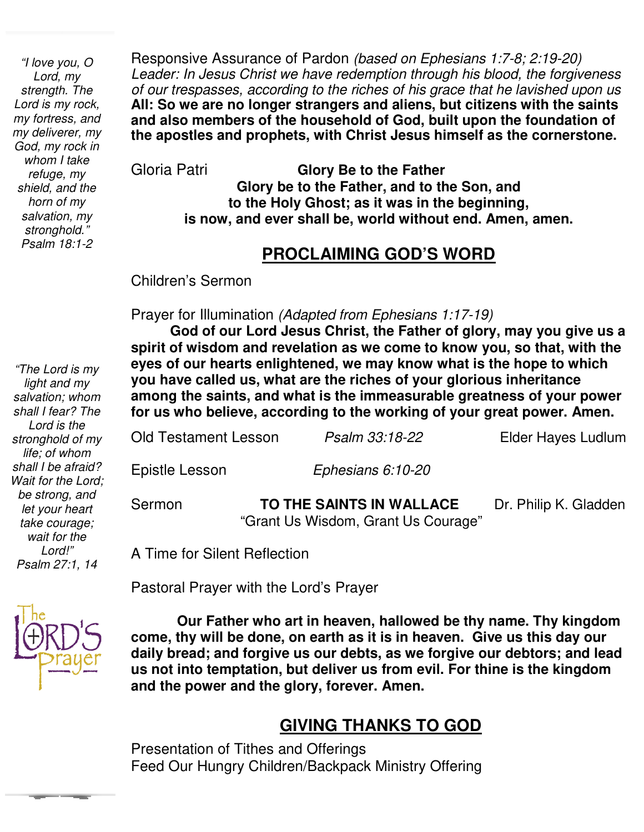*"I love you, O Lord, my strength. The Lord is my rock, my fortress, and my deliverer, my God, my rock in whom I take refuge, my shield, and the horn of my salvation, my stronghold." Psalm 18:1-2* 

Responsive Assurance of Pardon *(based on Ephesians 1:7-8; 2:19-20) Leader: In Jesus Christ we have redemption through his blood, the forgiveness of our trespasses, according to the riches of his grace that he lavished upon us*  **All: So we are no longer strangers and aliens, but citizens with the saints and also members of the household of God, built upon the foundation of the apostles and prophets, with Christ Jesus himself as the cornerstone.**

Gloria Patri **Glory Be to the Father Glory be to the Father, and to the Son, and to the Holy Ghost; as it was in the beginning, is now, and ever shall be, world without end. Amen, amen.** 

#### **PROCLAIMING GOD'S WORD**

Children's Sermon

Prayer for Illumination *(Adapted from Ephesians 1:17-19)*

 **spirit of wisdom and revelation as we come to know you, so that, with the God of our Lord Jesus Christ, the Father of glory, may you give us a eyes of our hearts enlightened, we may know what is the hope to which you have called us, what are the riches of your glorious inheritance among the saints, and what is the immeasurable greatness of your power for us who believe, according to the working of your great power. Amen.** 

Old Testament Lesson *Psalm 33:18-22* Elder Hayes Ludlum Epistle Lesson *Ephesians 6:10-20*

Sermon **TO THE SAINTS IN WALLACE** Dr. Philip K. Gladden "Grant Us Wisdom, Grant Us Courage"

A Time for Silent Reflection

Pastoral Prayer with the Lord's Prayer

 **come, thy will be done, on earth as it is in heaven. Give us this day our Our Father who art in heaven, hallowed be thy name. Thy kingdom daily bread; and forgive us our debts, as we forgive our debtors; and lead us not into temptation, but deliver us from evil. For thine is the kingdom and the power and the glory, forever. Amen.** 

### **GIVING THANKS TO GOD**

Presentation of Tithes and Offerings Feed Our Hungry Children/Backpack Ministry Offering

*light and my salvation; whom shall I fear? The Lord is the stronghold of my life; of whom shall I be afraid? Wait for the Lord; be strong, and let your heart take courage; wait for the Lord!" Psalm 27:1, 14* 

*"The Lord is my* 

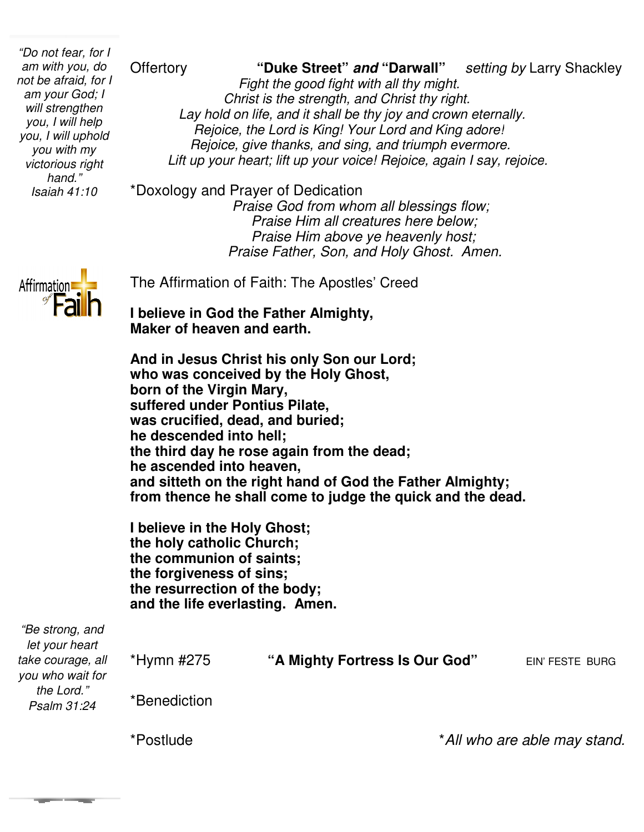*"Do not fear, for I am with you, do not be afraid, for I am your God; I will strengthen you, I will help you, I will uphold you with my victorious right hand." Isaiah 41:10*

**Offertory "Duke Street" and "Darwall"**  *Fight the good fight with all thy might thy might. Christ is the strength, and Christ thy right. Lay hold on life, and it shall be thy joy and crown eternally. Rejoice, the Lord is King! Your Lord and King adore! Rejoice, give thanks, an* Lift up your heart; lift up your voice! Rejoice, again I say, rejoice. **Setting by Larry Shackley** *Christ is the strength, and Christ thy right.*<br>*ay hold on life, and it shall be thy joy and crown eternal.*<br>*Rejoice, the Lord is King! Your Lord and King adore!*<br>*Rejoice, give thanks, and sing, and triumph evermore.* 

\*Doxology and Prayer of Dedication

 *Praise God from whom all blessings flow; Praise Him all creatures here below; Praise Him above ye heavenly host; Praise Father, Son, and Holy Ghost. Amen.* 



The Affirmation of Faith: The Apostles' Creed

**I believe in God the Father Almighty, Maker of heaven and earth.**

**And in Jesus Christ his only Son our Lord; who was conceived by the Holy Ghost, born of the Virgin Mary, suffered under Pontius Pilate, was crucified, dead, and buried; he descended into hell; the third day he rose again from the dead; he ascended into heaven, and sitteth on the right hand of God the Father Almighty;** he ascended into heaven,<br>and sitteth on the right hand of God the Father Almighty;<br>from thence he shall come to judge the quick and the dead. heaven and earth.<br> **heaven and carth**<br> **heavies Christ his only Son our Lord;<br>
conceived by the Holy Ghost,<br>
ne Virgin Mary,<br>
under Pontius Pilate,<br>
ified, dead, and buried;<br>
nded into hell;<br>
day he rose again from the dea** 

**I believe in the Holy Ghost; the holy catholic Church; the communion of saints; the forgiveness of sins; the resurrection of the body; l** believe in the Holy Ghost;<br>the holy catholic Church;<br>the communion of saints;<br>the forgiveness of sins;<br>the resurrection of the body;<br>and the life everlasting. Amen.

| "Be strong, and<br>let your heart<br>take courage, all<br>you who wait for<br>the Lord."<br>Psalm 31:24 | *Hymn #275   | "A Mighty Fortress Is Our God" | EIN' FESTE BURG              |
|---------------------------------------------------------------------------------------------------------|--------------|--------------------------------|------------------------------|
|                                                                                                         | *Benediction |                                |                              |
|                                                                                                         | *Postlude    |                                | *All who are able may stand. |